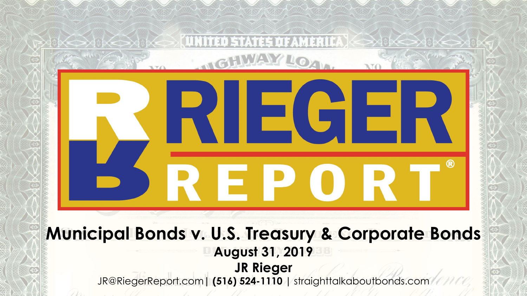# $\blacksquare$ FP0 **Municipal Bonds v. U.S. Treasury & Corporate Bonds August 31, 2019 JR Rieger** JR@RiegerReport.com**| (516) 524-1110 |** straighttalkaboutbonds.com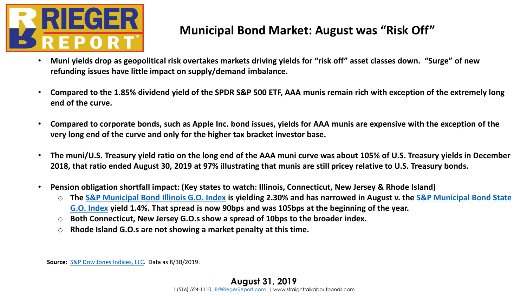

#### **Municipal Bond Market: August was "Risk Off"**

- **Muni yields drop as geopolitical risk overtakes markets driving yields for "risk off" asset classes down. "Surge" of new refunding issues have little impact on supply/demand imbalance.**
- **Compared to the 1.85% dividend yield of the SPDR S&P 500 ETF, AAA munis remain rich with exception of the extremely long end of the curve.**
- **Compared to corporate bonds, such as Apple Inc. bond issues, yields for AAA munis are expensive with the exception of the very long end of the curve and only for the higher tax bracket investor base.**
- **The muni/U.S. Treasury yield ratio on the long end of the AAA muni curve was about 105% of U.S. Treasury yields in December 2018, that ratio ended August 30, 2019 at 97% illustrating that munis are still pricey relative to U.S. Treasury bonds.**
- **Pension obligation shortfall impact: (Key states to watch: Illinois, Connecticut, New Jersey & Rhode Island)**
	- o **The [S&P Municipal Bond Illinois G.O. Index](https://us.spindices.com/indices/fixed-income/sp-municipal-bond-illinois-general-obligation-index) is yielding 2.30% and has narrowed in August v. the S&P Municipal Bond State G.O. Index [yield 1.4%. That spread is now 90bps and was 105bps at the beginning of the year.](https://us.spindices.com/indices/fixed-income/sp-municipal-bond-state-general-obligation-index)**
	- o **Both Connecticut, New Jersey G.O.s show a spread of 10bps to the broader index.**
	- o **Rhode Island G.O.s are not showing a market penalty at this time.**

**Source:** [S&P Dow Jones Indices, LLC](http://www.spindices.com/). Data as 8/30/2019.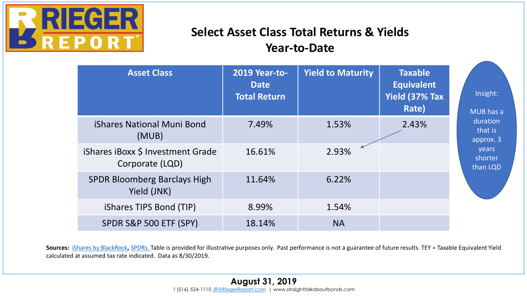

## **Select Asset Class Total Returns & Yields Year-to-Date**

| <b>Asset Class</b>                                   | <b>2019 Year-to-</b><br><b>Date</b><br><b>Total Return</b> | <b>Yield to Maturity</b> | <b>Taxable</b><br><b>Equivalent</b><br>Yield (37% Tax<br>Rate) | Insight:<br>MUB has a                                            |
|------------------------------------------------------|------------------------------------------------------------|--------------------------|----------------------------------------------------------------|------------------------------------------------------------------|
| <b>iShares National Muni Bond</b><br>(MUB)           | 7.49%                                                      | 1.53%                    | 2.43%                                                          | duration<br>that is<br>approx. 3<br>years<br>shorter<br>than LQD |
| iShares iBoxx \$ Investment Grade<br>Corporate (LQD) | 16.61%                                                     | 2.93%                    |                                                                |                                                                  |
| <b>SPDR Bloomberg Barclays High</b><br>Yield (JNK)   | 11.64%                                                     | 6.22%                    |                                                                |                                                                  |
| iShares TIPS Bond (TIP)                              | 8.99%                                                      | 1.54%                    |                                                                |                                                                  |
| SPDR S&P 500 ETF (SPY)                               | 18.14%                                                     | <b>NA</b>                |                                                                |                                                                  |

Sources: *[iShares by BlackRock](http://www.ishares.com/), SPDRs*. Table is provided for illustrative purposes only. Past performance is not a guarantee of future results. TEY = Taxable Equivalent Yield calculated at assumed tax rate indicated. Data as 8/30/2019.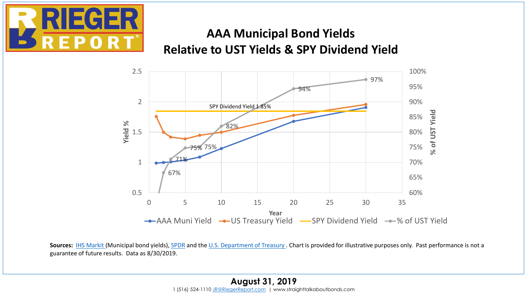

### **AAA Municipal Bond Yields Relative to UST Yields & SPY Dividend Yield**



Sources: [IHS Markit](https://ihsmarkit.com/index.html) (Municipal bond yields), [SPDR](https://us.spdrs.com/en/etf/spdr-sp-500-etf-trust-SPY) and the [U.S. Department of Treasury .](http://www.treasury.gov/) Chart is provided for illustrative purposes only. Past performance is not a guarantee of future results. Data as 8/30/2019.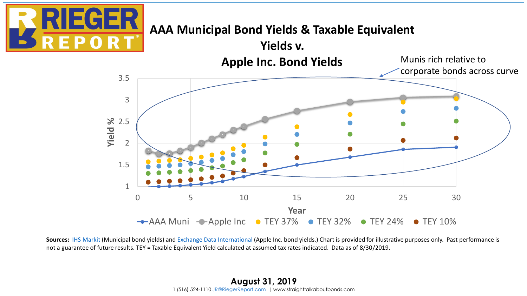

# **AAA Municipal Bond Yields & Taxable Equivalent**



Sources: **IHS Markit** (Municipal bond yields) and **Exchange Data International** (Apple Inc. bond yields.) Chart is provided for illustrative purposes only. Past performance is not a guarantee of future results. TEY = Taxable Equivalent Yield calculated at assumed tax rates indicated. Data as of 8/30/2019.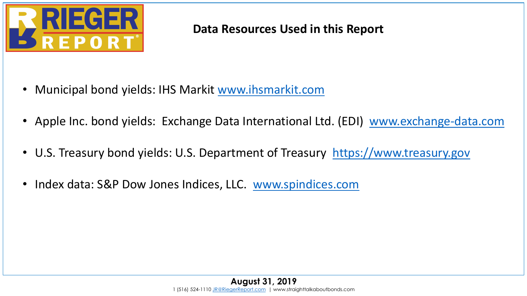

#### **Data Resources Used in this Report**

- Municipal bond yields: IHS Markit [www.ihsmarkit.com](http://www.ihsmarkit.com/)
- Apple Inc. bond yields: Exchange Data International Ltd. (EDI) [www.exchange-data.com](http://www.exchange-data.com/)
- U.S. Treasury bond yields: U.S. Department of Treasury [https://www.treasury.gov](https://www.treasury.gov/)
- Index data: S&P Dow Jones Indices, LLC. [www.spindices.com](http://www.spindices.com/)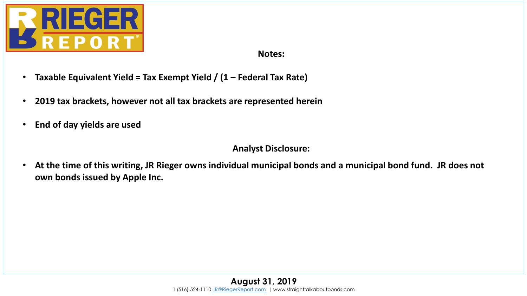

**Notes:**

- **Taxable Equivalent Yield = Tax Exempt Yield / (1 – Federal Tax Rate)**
- **2019 tax brackets, however not all tax brackets are represented herein**
- **End of day yields are used**

#### **Analyst Disclosure:**

• **At the time of this writing, JR Rieger owns individual municipal bonds and a municipal bond fund. JR does not own bonds issued by Apple Inc.**